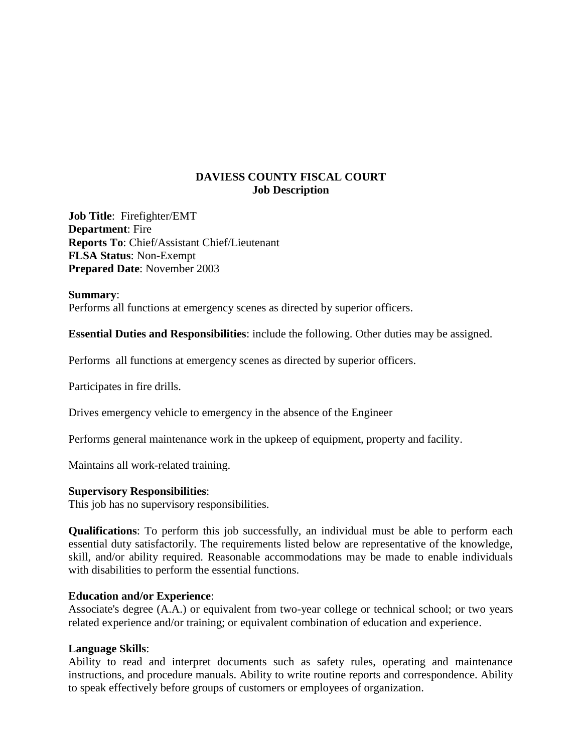# **DAVIESS COUNTY FISCAL COURT Job Description**

**Job Title**: Firefighter/EMT **Department**: Fire **Reports To**: Chief/Assistant Chief/Lieutenant **FLSA Status**: Non-Exempt **Prepared Date**: November 2003

### **Summary**:

Performs all functions at emergency scenes as directed by superior officers.

**Essential Duties and Responsibilities**: include the following. Other duties may be assigned.

Performs all functions at emergency scenes as directed by superior officers.

Participates in fire drills.

Drives emergency vehicle to emergency in the absence of the Engineer

Performs general maintenance work in the upkeep of equipment, property and facility.

Maintains all work-related training.

### **Supervisory Responsibilities**:

This job has no supervisory responsibilities.

**Qualifications**: To perform this job successfully, an individual must be able to perform each essential duty satisfactorily. The requirements listed below are representative of the knowledge, skill, and/or ability required. Reasonable accommodations may be made to enable individuals with disabilities to perform the essential functions.

### **Education and/or Experience**:

Associate's degree (A.A.) or equivalent from two-year college or technical school; or two years related experience and/or training; or equivalent combination of education and experience.

## **Language Skills**:

Ability to read and interpret documents such as safety rules, operating and maintenance instructions, and procedure manuals. Ability to write routine reports and correspondence. Ability to speak effectively before groups of customers or employees of organization.